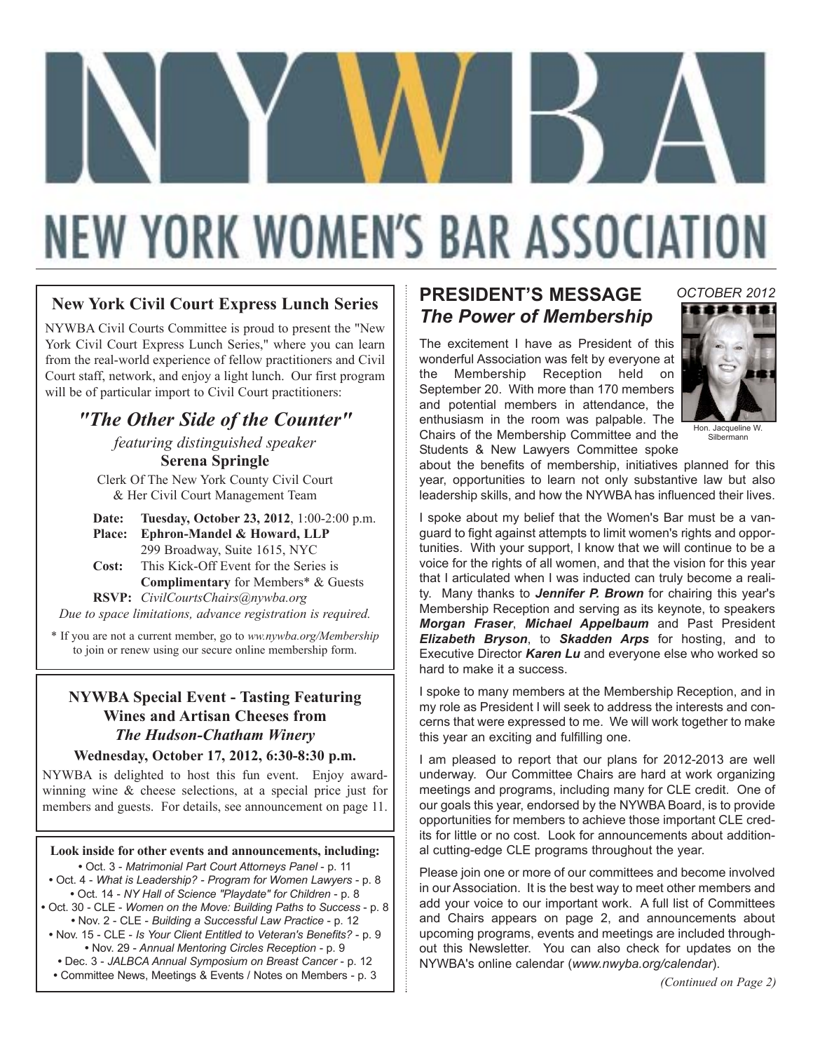# **NEW YORK WOMEN'S BAR ASSOCIATION**

#### **New York Civil Court Express Lunch Series**

NYWBA Civil Courts Committee is proud to present the "New York Civil Court Express Lunch Series," where you can learn from the real-world experience of fellow practitioners and Civil Court staff, network, and enjoy a light lunch. Our first program will be of particular import to Civil Court practitioners:

> *"The Other Side of the Counter" featuring distinguished speaker*

> > **Serena Springle**

Clerk Of The New York County Civil Court & Her Civil Court Management Team

**Date: Tuesday, October 23, 2012**, 1:00-2:00 p.m. **Place: Ephron-Mandel & Howard, LLP** 299 Broadway, Suite 1615, NYC **Cost:** This Kick-Off Event for the Series is

**Complimentary** for Members\* & Guests **RSVP:** *CivilCourtsChairs@nywba.org Due to space limitations, advance registration is required.*

\* If you are not a current member, go to *ww.nywba.org/Membership* to join or renew using our secure online membership form.

#### **NYWBA Special Event - Tasting Featuring Wines and Artisan Cheeses from** *The Hudson-Chatham Winery*

#### **Wednesday, October 17, 2012, 6:30-8:30 p.m.**

NYWBA is delighted to host this fun event. Enjoy awardwinning wine & cheese selections, at a special price just for members and guests. For details, see announcement on page 11.

#### **Look inside for other events and announcements, including:**

**•** Oct. 3 - *Matrimonial Part Court Attorneys Panel* - p. 11

- Oct. 4 *What is Leadership? Program for Women Lawyers*  p. 8 **•** Oct. 14 - *NY Hall of Science "Playdate" for Children* - p. 8
- Oct. 30 CLE *Women on the Move: Building Paths to Success* p. 8 **•** Nov. 2 - CLE - *Building a Successful Law Practice* - p. 12
- Nov. 15 CLE *Is Your Client Entitled to Veteran's Benefits?* p. 9 **•** Nov. 29 - *Annual Mentoring Circles Reception* - p. 9
- Dec. 3 *JALBCA Annual Symposium on Breast Cancer* p. 12
- Committee News, Meetings & Events / Notes on Members p. 3

#### **PRESIDENT'S MESSAGE** *The Power of Membership*

The excitement I have as President of this wonderful Association was felt by everyone at the Membership Reception held on September 20. With more than 170 members and potential members in attendance, the enthusiasm in the room was palpable. The Chairs of the Membership Committee and the Students & New Lawyers Committee spoke



*OCTOBER 2012*

Hon. Jacqueline W. Silbermann

about the benefits of membership, initiatives planned for this year, opportunities to learn not only substantive law but also leadership skills, and how the NYWBA has influenced their lives.

I spoke about my belief that the Women's Bar must be a vanguard to fight against attempts to limit women's rights and opportunities. With your support, I know that we will continue to be a voice for the rights of all women, and that the vision for this year that I articulated when I was inducted can truly become a reality. Many thanks to *Jennifer P. Brown* for chairing this year's Membership Reception and serving as its keynote, to speakers *Morgan Fraser*, *Michael Appelbaum* and Past President *Elizabeth Bryson*, to *Skadden Arps* for hosting, and to Executive Director *Karen Lu* and everyone else who worked so hard to make it a success.

I spoke to many members at the Membership Reception, and in my role as President I will seek to address the interests and concerns that were expressed to me. We will work together to make this year an exciting and fulfilling one.

I am pleased to report that our plans for 2012-2013 are well underway. Our Committee Chairs are hard at work organizing meetings and programs, including many for CLE credit. One of our goals this year, endorsed by the NYWBA Board, is to provide opportunities for members to achieve those important CLE credits for little or no cost. Look for announcements about additional cutting-edge CLE programs throughout the year.

Please join one or more of our committees and become involved in our Association. It is the best way to meet other members and add your voice to our important work. A full list of Committees and Chairs appears on page 2, and announcements about upcoming programs, events and meetings are included throughout this Newsletter. You can also check for updates on the NYWBA's online calendar (*www.nwyba.org/calendar*).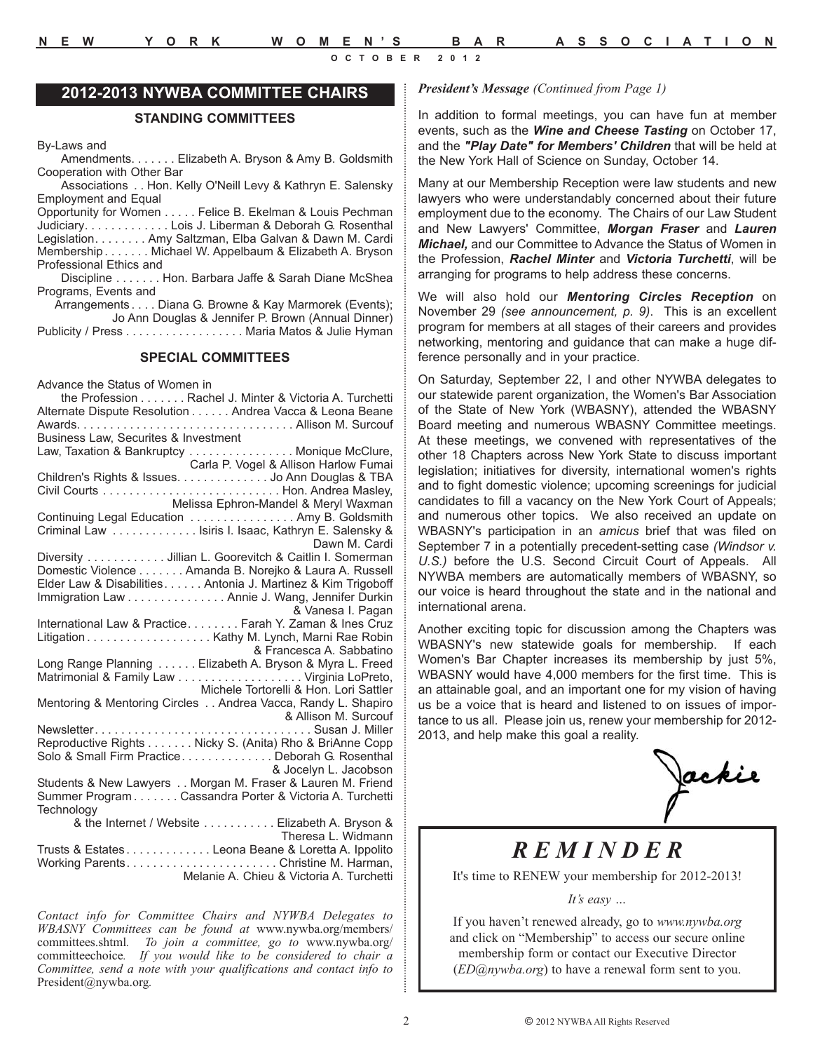#### **2012-2013 NYWBA COMMITTEE CHAIRS**

#### **STANDING COMMITTEES**

By-Laws and

Amendments. . . . . . . Elizabeth A. Bryson & Amy B. Goldsmith Cooperation with Other Bar

Associations . . Hon. Kelly O'Neill Levy & Kathryn E. Salensky Employment and Equal

Opportunity for Women . . . . . Felice B. Ekelman & Louis Pechman Judiciary. . . . . . . . . . . . . Lois J. Liberman & Deborah G. Rosenthal Legislation. . . . . . . . Amy Saltzman, Elba Galvan & Dawn M. Cardi Membership . . . . . . . Michael W. Appelbaum & Elizabeth A. Bryson Professional Ethics and

Discipline . . . . . . . Hon. Barbara Jaffe & Sarah Diane McShea Programs, Events and

Arrangements . . . . Diana G. Browne & Kay Marmorek (Events); Jo Ann Douglas & Jennifer P. Brown (Annual Dinner) Publicity / Press . . . . . . . . . . . . . . . . . Maria Matos & Julie Hyman

#### **SPECIAL COMMITTEES**

Advance the Status of Women in

| the Profession Rachel J. Minter & Victoria A. Turchetti       |
|---------------------------------------------------------------|
| Alternate Dispute Resolution Andrea Vacca & Leona Beane       |
|                                                               |
| Business Law, Securites & Investment                          |
| Law, Taxation & Bankruptcy Monique McClure,                   |
| Carla P. Vogel & Allison Harlow Fumai                         |
|                                                               |
| Children's Rights & Issues. Jo Ann Douglas & TBA              |
| Civil Courts  Hon. Andrea Masley,                             |
| Melissa Ephron-Mandel & Meryl Waxman                          |
| Continuing Legal Education Amy B. Goldsmith                   |
| Criminal Law  Isiris I. Isaac, Kathryn E. Salensky &          |
| Dawn M. Cardi                                                 |
| Diversity Jillian L. Goorevitch & Caitlin I. Somerman         |
| Domestic Violence Amanda B. Norejko & Laura A. Russell        |
| Elder Law & Disabilities Antonia J. Martinez & Kim Trigoboff  |
| Immigration Law Annie J. Wang, Jennifer Durkin                |
| & Vanesa I. Pagan                                             |
| International Law & Practice. Farah Y. Zaman & Ines Cruz      |
|                                                               |
| & Francesca A. Sabbatino                                      |
|                                                               |
| Long Range Planning Elizabeth A. Bryson & Myra L. Freed       |
|                                                               |
| Michele Tortorelli & Hon. Lori Sattler                        |
| Mentoring & Mentoring Circles  Andrea Vacca, Randy L. Shapiro |
| & Allison M. Surcouf                                          |
|                                                               |
| Reproductive Rights Nicky S. (Anita) Rho & BriAnne Copp       |
| Solo & Small Firm PracticeDeborah G. Rosenthal                |
| & Jocelyn L. Jacobson                                         |
| Students & New Lawyers Morgan M. Fraser & Lauren M. Friend    |
| Summer Program Cassandra Porter & Victoria A. Turchetti       |
| Technology                                                    |
| & the Internet / Website Elizabeth A. Bryson &                |
| Theresa L. Widmann                                            |
|                                                               |
| Trusts & EstatesLeona Beane & Loretta A. Ippolito             |
| Working ParentsChristine M. Harman,                           |
| Melanie A. Chieu & Victoria A. Turchetti                      |

*Contact info for Committee Chairs and NYWBA Delegates to WBASNY Committees can be found at* www.nywba.org/members/ committees.shtml*. To join a committee, go to* www.nywba.org/ committeechoice*. If you would like to be considered to chair a Committee, send a note with your qualifications and contact info to* President@nywba.org*.*

#### *President's Message (Continued from Page 1)*

In addition to formal meetings, you can have fun at member events, such as the *Wine and Cheese Tasting* on October 17, and the *"Play Date" for Members' Children* that will be held at the New York Hall of Science on Sunday, October 14.

Many at our Membership Reception were law students and new lawyers who were understandably concerned about their future employment due to the economy. The Chairs of our Law Student and New Lawyers' Committee, *Morgan Fraser* and *Lauren Michael,* and our Committee to Advance the Status of Women in the Profession, *Rachel Minter* and *Victoria Turchetti*, will be arranging for programs to help address these concerns.

We will also hold our *Mentoring Circles Reception* on November 29 *(see announcement, p. 9)*. This is an excellent program for members at all stages of their careers and provides networking, mentoring and guidance that can make a huge difference personally and in your practice.

On Saturday, September 22, I and other NYWBA delegates to our statewide parent organization, the Women's Bar Association of the State of New York (WBASNY), attended the WBASNY Board meeting and numerous WBASNY Committee meetings. At these meetings, we convened with representatives of the other 18 Chapters across New York State to discuss important legislation; initiatives for diversity, international women's rights and to fight domestic violence; upcoming screenings for judicial candidates to fill a vacancy on the New York Court of Appeals; and numerous other topics. We also received an update on WBASNY's participation in an *amicus* brief that was filed on September 7 in a potentially precedent-setting case *(Windsor v. U.S.)* before the U.S. Second Circuit Court of Appeals. All NYWBA members are automatically members of WBASNY, so our voice is heard throughout the state and in the national and international arena.

Another exciting topic for discussion among the Chapters was WBASNY's new statewide goals for membership. If each Women's Bar Chapter increases its membership by just 5%, WBASNY would have 4,000 members for the first time. This is an attainable goal, and an important one for my vision of having us be a voice that is heard and listened to on issues of importance to us all. Please join us, renew your membership for 2012- 2013, and help make this goal a reality.

Jackie

## *REMINDER*

It's time to RENEW your membership for 2012-2013!

*It's easy …* 

If you haven't renewed already, go to *www.nywba.org*  and click on "Membership" to access our secure online membership form or contact our Executive Director (*ED@nywba.org*) to have a renewal form sent to you.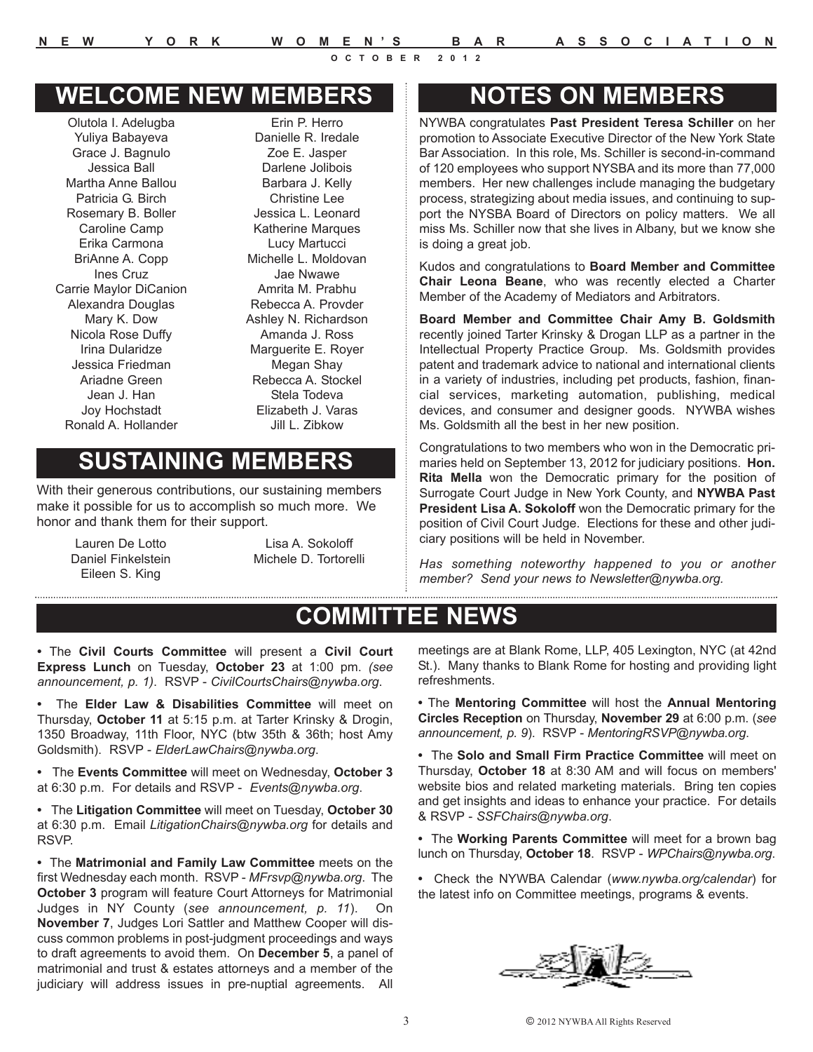## **WELCOME NEW MEMBERS**

Olutola I. Adelugba Yuliya Babayeva Grace J. Bagnulo Jessica Ball Martha Anne Ballou Patricia G. Birch Rosemary B. Boller Caroline Camp Erika Carmona BriAnne A. Copp Ines Cruz Carrie Maylor DiCanion Alexandra Douglas Mary K. Dow Nicola Rose Duffy Irina Dularidze Jessica Friedman Ariadne Green Jean J. Han Joy Hochstadt Ronald A. Hollander

Erin P. Herro Danielle R. Iredale Zoe E. Jasper Darlene Jolibois Barbara J. Kelly Christine Lee Jessica L. Leonard Katherine Marques Lucy Martucci Michelle L. Moldovan Jae Nwawe Amrita M. Prabhu Rebecca A. Provder Ashley N. Richardson Amanda J. Ross Marguerite E. Royer Megan Shay Rebecca A. Stockel Stela Todeva Elizabeth J. Varas Jill L. Zibkow

## **SUSTAINING MEMBERS**

With their generous contributions, our sustaining members make it possible for us to accomplish so much more. We honor and thank them for their support.

Lauren De Lotto Daniel Finkelstein Eileen S. King

Lisa A. Sokoloff Michele D. Tortorelli

## **NOTES ON MEMBERS**

NYWBA congratulates **Past President Teresa Schiller** on her promotion to Associate Executive Director of the New York State Bar Association. In this role, Ms. Schiller is second-in-command of 120 employees who support NYSBA and its more than 77,000 members. Her new challenges include managing the budgetary process, strategizing about media issues, and continuing to support the NYSBA Board of Directors on policy matters. We all miss Ms. Schiller now that she lives in Albany, but we know she is doing a great job.

Kudos and congratulations to **Board Member and Committee Chair Leona Beane**, who was recently elected a Charter Member of the Academy of Mediators and Arbitrators.

**Board Member and Committee Chair Amy B. Goldsmith** recently joined Tarter Krinsky & Drogan LLP as a partner in the Intellectual Property Practice Group. Ms. Goldsmith provides patent and trademark advice to national and international clients in a variety of industries, including pet products, fashion, financial services, marketing automation, publishing, medical devices, and consumer and designer goods. NYWBA wishes Ms. Goldsmith all the best in her new position.

Congratulations to two members who won in the Democratic primaries held on September 13, 2012 for judiciary positions. **Hon. Rita Mella** won the Democratic primary for the position of Surrogate Court Judge in New York County, and **NYWBA Past President Lisa A. Sokoloff** won the Democratic primary for the position of Civil Court Judge. Elections for these and other judiciary positions will be held in November.

*Has something noteworthy happened to you or another member? Send your news to Newsletter@nywba.org.*

## **COMMITTEE NEWS**

**•** The **Civil Courts Committee** will present a **Civil Court Express Lunch** on Tuesday, **October 23** at 1:00 pm. *(see announcement, p. 1)*. RSVP - *CivilCourtsChairs@nywba.org*.

**•** The **Elder Law & Disabilities Committee** will meet on Thursday, **October 11** at 5:15 p.m. at Tarter Krinsky & Drogin, 1350 Broadway, 11th Floor, NYC (btw 35th & 36th; host Amy Goldsmith). RSVP - *ElderLawChairs@nywba.org*.

**•** The **Events Committee** will meet on Wednesday, **October 3** at 6:30 p.m. For details and RSVP - *Events@nywba.org*.

**•** The **Litigation Committee** will meet on Tuesday, **October 30** at 6:30 p.m. Email *LitigationChairs@nywba.org* for details and RSVP.

**•** The **Matrimonial and Family Law Committee** meets on the first Wednesday each month. RSVP - *MFrsvp@nywba.org*. The **October 3** program will feature Court Attorneys for Matrimonial Judges in NY County (*see announcement, p. 11*). On **November 7**, Judges Lori Sattler and Matthew Cooper will discuss common problems in post-judgment proceedings and ways to draft agreements to avoid them. On **December 5**, a panel of matrimonial and trust & estates attorneys and a member of the judiciary will address issues in pre-nuptial agreements. All meetings are at Blank Rome, LLP, 405 Lexington, NYC (at 42nd St.). Many thanks to Blank Rome for hosting and providing light refreshments.

**•** The **Mentoring Committee** will host the **Annual Mentoring Circles Reception** on Thursday, **November 29** at 6:00 p.m. (*see announcement, p. 9*). RSVP - *MentoringRSVP@nywba.org*.

**•** The **Solo and Small Firm Practice Committee** will meet on Thursday, **October 18** at 8:30 AM and will focus on members' website bios and related marketing materials. Bring ten copies and get insights and ideas to enhance your practice. For details & RSVP - *SSFChairs@nywba.org*.

**•** The **Working Parents Committee** will meet for a brown bag lunch on Thursday, **October 18**. RSVP - *WPChairs@nywba.org*.

**•** Check the NYWBA Calendar (*www.nywba.org/calendar*) for the latest info on Committee meetings, programs & events.

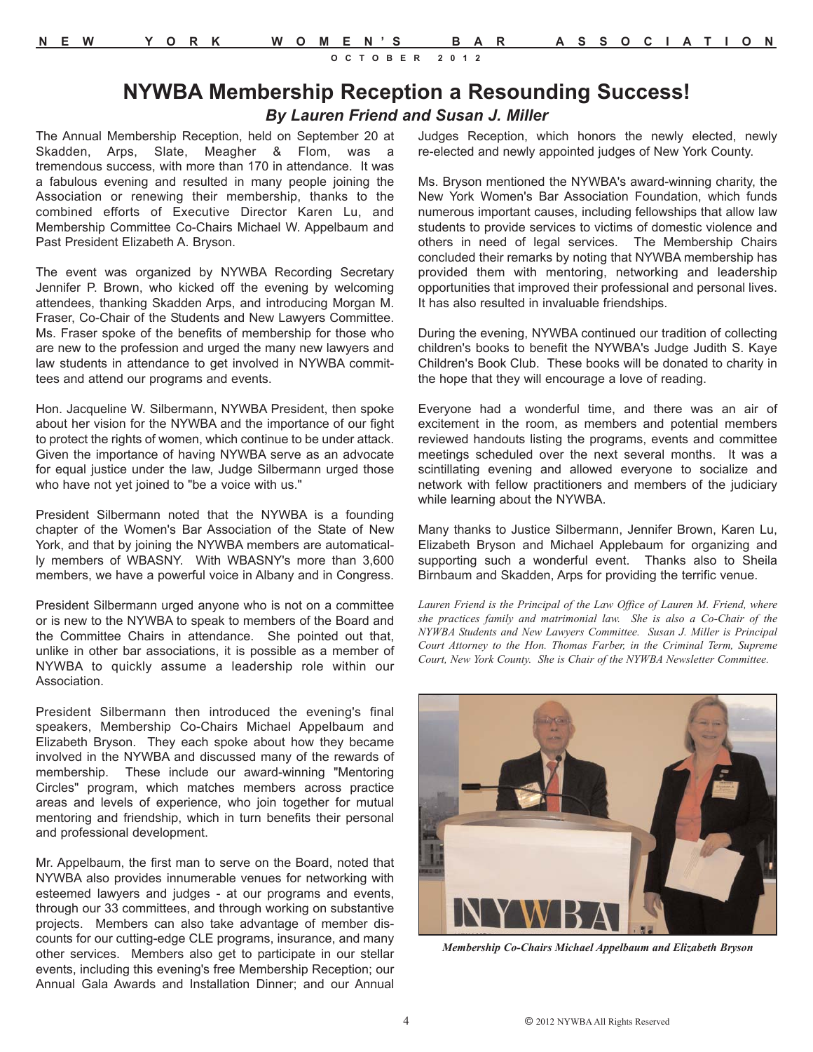#### **NYWBA Membership Reception a Resounding Success!** *By Lauren Friend and Susan J. Miller*

The Annual Membership Reception, held on September 20 at Skadden, Arps, Slate, Meagher & Flom, was a tremendous success, with more than 170 in attendance. It was a fabulous evening and resulted in many people joining the Association or renewing their membership, thanks to the combined efforts of Executive Director Karen Lu, and Membership Committee Co-Chairs Michael W. Appelbaum and Past President Elizabeth A. Bryson.

The event was organized by NYWBA Recording Secretary Jennifer P. Brown, who kicked off the evening by welcoming attendees, thanking Skadden Arps, and introducing Morgan M. Fraser, Co-Chair of the Students and New Lawyers Committee. Ms. Fraser spoke of the benefits of membership for those who are new to the profession and urged the many new lawyers and law students in attendance to get involved in NYWBA committees and attend our programs and events.

Hon. Jacqueline W. Silbermann, NYWBA President, then spoke about her vision for the NYWBA and the importance of our fight to protect the rights of women, which continue to be under attack. Given the importance of having NYWBA serve as an advocate for equal justice under the law, Judge Silbermann urged those who have not yet joined to "be a voice with us."

President Silbermann noted that the NYWBA is a founding chapter of the Women's Bar Association of the State of New York, and that by joining the NYWBA members are automatically members of WBASNY. With WBASNY's more than 3,600 members, we have a powerful voice in Albany and in Congress.

President Silbermann urged anyone who is not on a committee or is new to the NYWBA to speak to members of the Board and the Committee Chairs in attendance. She pointed out that, unlike in other bar associations, it is possible as a member of NYWBA to quickly assume a leadership role within our Association.

President Silbermann then introduced the evening's final speakers, Membership Co-Chairs Michael Appelbaum and Elizabeth Bryson. They each spoke about how they became involved in the NYWBA and discussed many of the rewards of membership. These include our award-winning "Mentoring Circles" program, which matches members across practice areas and levels of experience, who join together for mutual mentoring and friendship, which in turn benefits their personal and professional development.

Mr. Appelbaum, the first man to serve on the Board, noted that NYWBA also provides innumerable venues for networking with esteemed lawyers and judges - at our programs and events, through our 33 committees, and through working on substantive projects. Members can also take advantage of member discounts for our cutting-edge CLE programs, insurance, and many other services. Members also get to participate in our stellar events, including this evening's free Membership Reception; our Annual Gala Awards and Installation Dinner; and our Annual Judges Reception, which honors the newly elected, newly re-elected and newly appointed judges of New York County.

Ms. Bryson mentioned the NYWBA's award-winning charity, the New York Women's Bar Association Foundation, which funds numerous important causes, including fellowships that allow law students to provide services to victims of domestic violence and others in need of legal services. The Membership Chairs concluded their remarks by noting that NYWBA membership has provided them with mentoring, networking and leadership opportunities that improved their professional and personal lives. It has also resulted in invaluable friendships.

During the evening, NYWBA continued our tradition of collecting children's books to benefit the NYWBA's Judge Judith S. Kaye Children's Book Club. These books will be donated to charity in the hope that they will encourage a love of reading.

Everyone had a wonderful time, and there was an air of excitement in the room, as members and potential members reviewed handouts listing the programs, events and committee meetings scheduled over the next several months. It was a scintillating evening and allowed everyone to socialize and network with fellow practitioners and members of the judiciary while learning about the NYWBA.

Many thanks to Justice Silbermann, Jennifer Brown, Karen Lu, Elizabeth Bryson and Michael Applebaum for organizing and supporting such a wonderful event. Thanks also to Sheila Birnbaum and Skadden, Arps for providing the terrific venue.

*Lauren Friend is the Principal of the Law Office of Lauren M. Friend, where she practices family and matrimonial law. She is also a Co-Chair of the NYWBA Students and New Lawyers Committee. Susan J. Miller is Principal Court Attorney to the Hon. Thomas Farber, in the Criminal Term, Supreme Court, New York County. She is Chair of the NYWBA Newsletter Committee.*



*Membership Co-Chairs Michael Appelbaum and Elizabeth Bryson*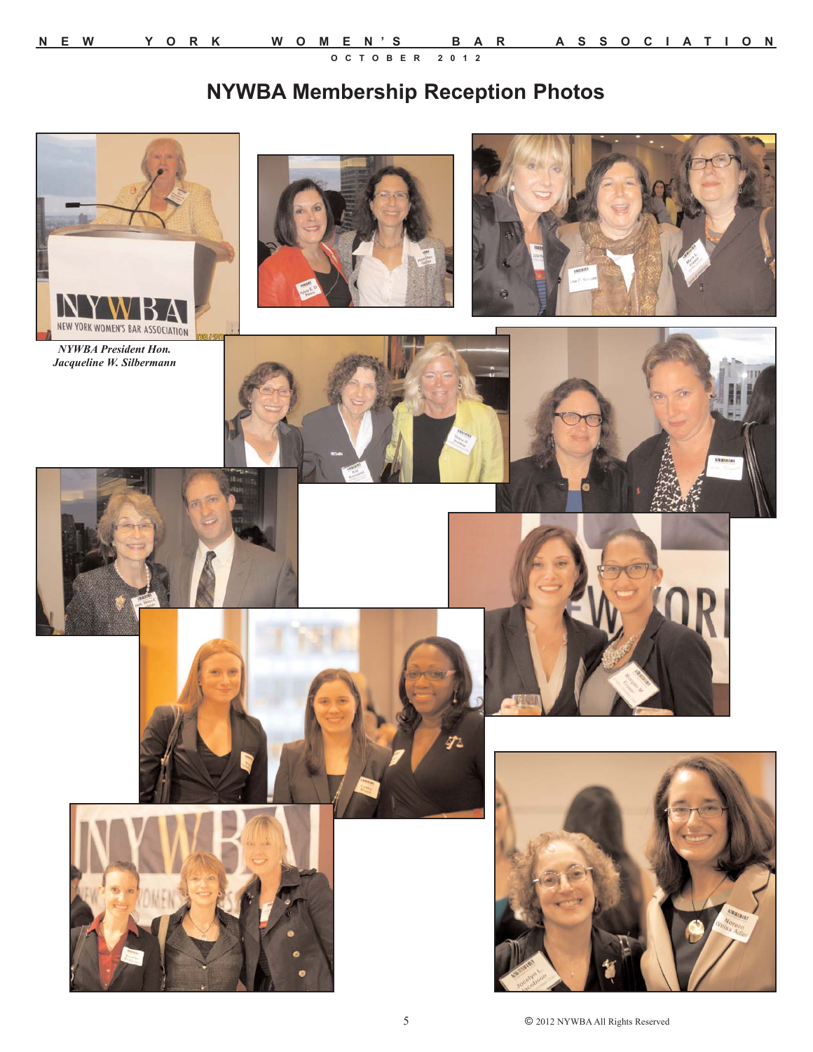## **NYWBA Membership Reception Photos**



*NYWBA President Hon. Jacqueline W. Silbermann*

















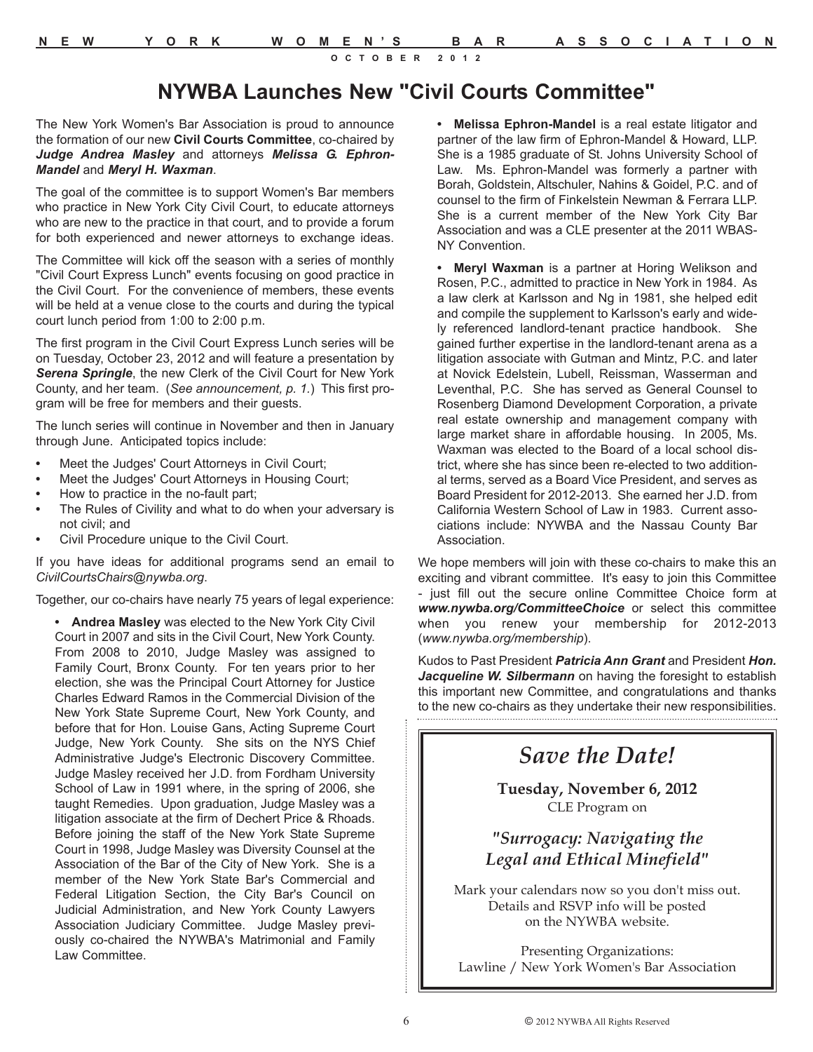## **NYWBA Launches New "Civil Courts Committee"**

The New York Women's Bar Association is proud to announce the formation of our new **Civil Courts Committee**, co-chaired by *Judge Andrea Masley* and attorneys *Melissa G. Ephron-Mandel* and *Meryl H. Waxman*.

The goal of the committee is to support Women's Bar members who practice in New York City Civil Court, to educate attorneys who are new to the practice in that court, and to provide a forum for both experienced and newer attorneys to exchange ideas.

The Committee will kick off the season with a series of monthly "Civil Court Express Lunch" events focusing on good practice in the Civil Court. For the convenience of members, these events will be held at a venue close to the courts and during the typical court lunch period from 1:00 to 2:00 p.m.

The first program in the Civil Court Express Lunch series will be on Tuesday, October 23, 2012 and will feature a presentation by *Serena Springle*, the new Clerk of the Civil Court for New York County, and her team. (*See announcement, p. 1.*) This first program will be free for members and their guests.

The lunch series will continue in November and then in January through June. Anticipated topics include:

- **•** Meet the Judges' Court Attorneys in Civil Court;
- **•** Meet the Judges' Court Attorneys in Housing Court;
- **•** How to practice in the no-fault part;
- **•** The Rules of Civility and what to do when your adversary is not civil; and
- **•** Civil Procedure unique to the Civil Court.

If you have ideas for additional programs send an email to *CivilCourtsChairs@nywba.org*.

Together, our co-chairs have nearly 75 years of legal experience:

**• Andrea Masley** was elected to the New York City Civil Court in 2007 and sits in the Civil Court, New York County. From 2008 to 2010, Judge Masley was assigned to Family Court, Bronx County. For ten years prior to her election, she was the Principal Court Attorney for Justice Charles Edward Ramos in the Commercial Division of the New York State Supreme Court, New York County, and before that for Hon. Louise Gans, Acting Supreme Court Judge, New York County. She sits on the NYS Chief Administrative Judge's Electronic Discovery Committee. Judge Masley received her J.D. from Fordham University School of Law in 1991 where, in the spring of 2006, she taught Remedies. Upon graduation, Judge Masley was a litigation associate at the firm of Dechert Price & Rhoads. Before joining the staff of the New York State Supreme Court in 1998, Judge Masley was Diversity Counsel at the Association of the Bar of the City of New York. She is a member of the New York State Bar's Commercial and Federal Litigation Section, the City Bar's Council on Judicial Administration, and New York County Lawyers Association Judiciary Committee. Judge Masley previously co-chaired the NYWBA's Matrimonial and Family Law Committee.

**• Melissa Ephron-Mandel** is a real estate litigator and partner of the law firm of Ephron-Mandel & Howard, LLP. She is a 1985 graduate of St. Johns University School of Law. Ms. Ephron-Mandel was formerly a partner with Borah, Goldstein, Altschuler, Nahins & Goidel, P.C. and of counsel to the firm of Finkelstein Newman & Ferrara LLP. She is a current member of the New York City Bar Association and was a CLE presenter at the 2011 WBAS-NY Convention.

**• Meryl Waxman** is a partner at Horing Welikson and Rosen, P.C., admitted to practice in New York in 1984. As a law clerk at Karlsson and Ng in 1981, she helped edit and compile the supplement to Karlsson's early and widely referenced landlord-tenant practice handbook. She gained further expertise in the landlord-tenant arena as a litigation associate with Gutman and Mintz, P.C. and later at Novick Edelstein, Lubell, Reissman, Wasserman and Leventhal, P.C. She has served as General Counsel to Rosenberg Diamond Development Corporation, a private real estate ownership and management company with large market share in affordable housing. In 2005, Ms. Waxman was elected to the Board of a local school district, where she has since been re-elected to two additional terms, served as a Board Vice President, and serves as Board President for 2012-2013. She earned her J.D. from California Western School of Law in 1983. Current associations include: NYWBA and the Nassau County Bar Association.

We hope members will join with these co-chairs to make this an exciting and vibrant committee. It's easy to join this Committee - just fill out the secure online Committee Choice form at *www.nywba.org/CommitteeChoice* or select this committee when you renew your membership for 2012-2013 (*www.nywba.org/membership*).

Kudos to Past President *Patricia Ann Grant* and President *Hon. Jacqueline W. Silbermann* on having the foresight to establish this important new Committee, and congratulations and thanks to the new co-chairs as they undertake their new responsibilities.

## *Save the Date!*

**Tuesday, November 6, 2012** CLE Program on

#### *"Surrogacy: Navigating the Legal and Ethical Minefield"*

Mark your calendars now so you don't miss out. Details and RSVP info will be posted on the NYWBA website.

Presenting Organizations: Lawline / New York Women's Bar Association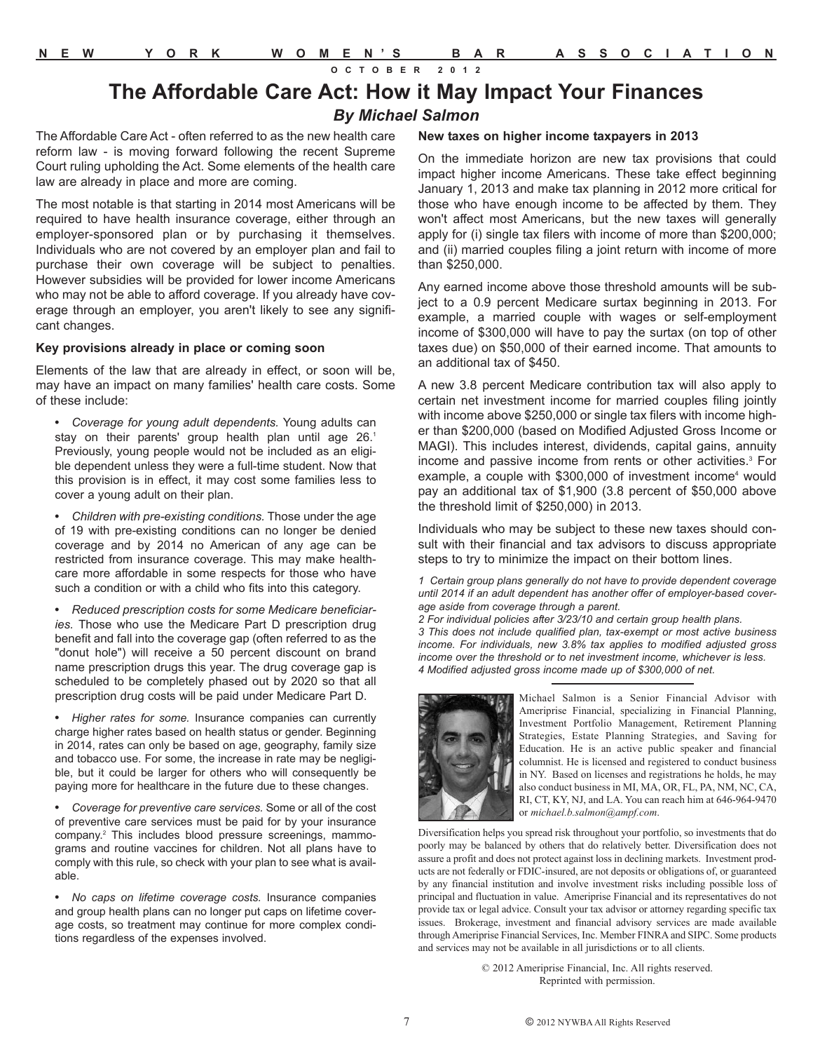#### **The Affordable Care Act: How it May Impact Your Finances** *By Michael Salmon*

The Affordable Care Act - often referred to as the new health care reform law - is moving forward following the recent Supreme Court ruling upholding the Act. Some elements of the health care law are already in place and more are coming.

The most notable is that starting in 2014 most Americans will be required to have health insurance coverage, either through an employer-sponsored plan or by purchasing it themselves. Individuals who are not covered by an employer plan and fail to purchase their own coverage will be subject to penalties. However subsidies will be provided for lower income Americans who may not be able to afford coverage. If you already have coverage through an employer, you aren't likely to see any significant changes.

#### **Key provisions already in place or coming soon**

Elements of the law that are already in effect, or soon will be, may have an impact on many families' health care costs. Some of these include:

**•** *Coverage for young adult dependents.* Young adults can stay on their parents' group health plan until age 26.<sup>1</sup> Previously, young people would not be included as an eligible dependent unless they were a full-time student. Now that this provision is in effect, it may cost some families less to cover a young adult on their plan.

**•** *Children with pre-existing conditions.* Those under the age of 19 with pre-existing conditions can no longer be denied coverage and by 2014 no American of any age can be restricted from insurance coverage. This may make healthcare more affordable in some respects for those who have such a condition or with a child who fits into this category.

**•** *Reduced prescription costs for some Medicare beneficiaries.* Those who use the Medicare Part D prescription drug benefit and fall into the coverage gap (often referred to as the "donut hole") will receive a 50 percent discount on brand name prescription drugs this year. The drug coverage gap is scheduled to be completely phased out by 2020 so that all prescription drug costs will be paid under Medicare Part D.

**•** *Higher rates for some.* Insurance companies can currently charge higher rates based on health status or gender. Beginning in 2014, rates can only be based on age, geography, family size and tobacco use. For some, the increase in rate may be negligible, but it could be larger for others who will consequently be paying more for healthcare in the future due to these changes.

**•** *Coverage for preventive care services.* Some or all of the cost of preventive care services must be paid for by your insurance company.2 This includes blood pressure screenings, mammograms and routine vaccines for children. Not all plans have to comply with this rule, so check with your plan to see what is available.

**•** *No caps on lifetime coverage costs.* Insurance companies and group health plans can no longer put caps on lifetime coverage costs, so treatment may continue for more complex conditions regardless of the expenses involved.

#### **New taxes on higher income taxpayers in 2013**

On the immediate horizon are new tax provisions that could impact higher income Americans. These take effect beginning January 1, 2013 and make tax planning in 2012 more critical for those who have enough income to be affected by them. They won't affect most Americans, but the new taxes will generally apply for (i) single tax filers with income of more than \$200,000; and (ii) married couples filing a joint return with income of more than \$250,000.

Any earned income above those threshold amounts will be subject to a 0.9 percent Medicare surtax beginning in 2013. For example, a married couple with wages or self-employment income of \$300,000 will have to pay the surtax (on top of other taxes due) on \$50,000 of their earned income. That amounts to an additional tax of \$450.

A new 3.8 percent Medicare contribution tax will also apply to certain net investment income for married couples filing jointly with income above \$250,000 or single tax filers with income higher than \$200,000 (based on Modified Adjusted Gross Income or MAGI). This includes interest, dividends, capital gains, annuity income and passive income from rents or other activities.<sup>3</sup> For example, a couple with \$300,000 of investment income<sup>4</sup> would pay an additional tax of \$1,900 (3.8 percent of \$50,000 above the threshold limit of \$250,000) in 2013.

Individuals who may be subject to these new taxes should consult with their financial and tax advisors to discuss appropriate steps to try to minimize the impact on their bottom lines.

*1 Certain group plans generally do not have to provide dependent coverage until 2014 if an adult dependent has another offer of employer-based coverage aside from coverage through a parent.*

*2 For individual policies after 3/23/10 and certain group health plans. 3 This does not include qualified plan, tax-exempt or most active business income. For individuals, new 3.8% tax applies to modified adjusted gross income over the threshold or to net investment income, whichever is less. 4 Modified adjusted gross income made up of \$300,000 of net.*



Michael Salmon is a Senior Financial Advisor with Ameriprise Financial, specializing in Financial Planning, Investment Portfolio Management, Retirement Planning Strategies, Estate Planning Strategies, and Saving for Education. He is an active public speaker and financial columnist. He is licensed and registered to conduct business in NY. Based on licenses and registrations he holds, he may also conduct business in MI, MA, OR, FL, PA, NM, NC, CA, RI, CT, KY, NJ, and LA. You can reach him at 646-964-9470 or *michael.b.salmon@ampf.com*.

Diversification helps you spread risk throughout your portfolio, so investments that do poorly may be balanced by others that do relatively better. Diversification does not assure a profit and does not protect against loss in declining markets. Investment products are not federally or FDIC-insured, are not deposits or obligations of, or guaranteed by any financial institution and involve investment risks including possible loss of principal and fluctuation in value. Ameriprise Financial and its representatives do not provide tax or legal advice. Consult your tax advisor or attorney regarding specific tax issues. Brokerage, investment and financial advisory services are made available through Ameriprise Financial Services, Inc. Member FINRA and SIPC. Some products and services may not be available in all jurisdictions or to all clients.

> © 2012 Ameriprise Financial, Inc. All rights reserved. Reprinted with permission.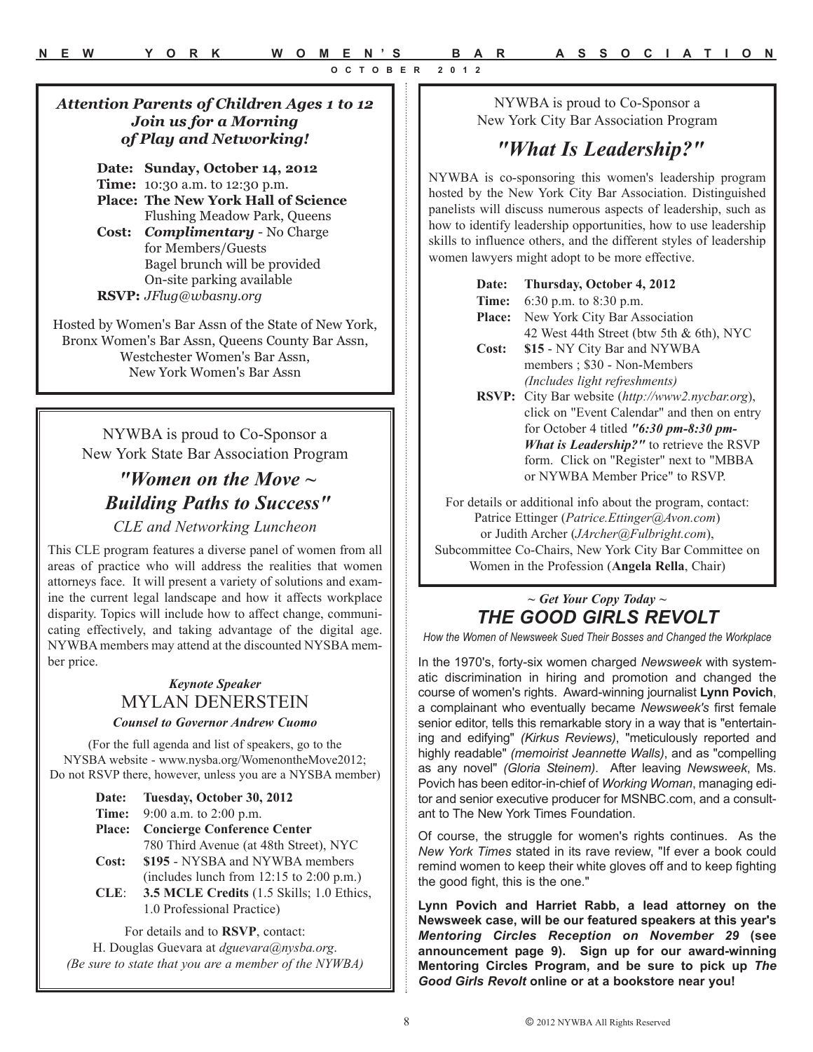#### *Attention Parents of Children Ages 1 to 12 Join us for a Morning of Play and Networking!*

**Date: Sunday, October 14, 2012 Time:** 10:30 a.m. to 12:30 p.m. **Place: The New York Hall of Science** Flushing Meadow Park, Queens

**Cost:** *Complimentary* - No Charge for Members/Guests Bagel brunch will be provided On-site parking available **RSVP:** *JFlug@wbasny.org*

Hosted by Women's Bar Assn of the State of New York, Bronx Women's Bar Assn, Queens County Bar Assn, Westchester Women's Bar Assn, New York Women's Bar Assn

NYWBA is proud to Co-Sponsor a New York State Bar Association Program

## *"Women on the Move ~ Building Paths to Success"*

#### *CLE and Networking Luncheon*

This CLE program features a diverse panel of women from all areas of practice who will address the realities that women attorneys face. It will present a variety of solutions and examine the current legal landscape and how it affects workplace disparity. Topics will include how to affect change, communicating effectively, and taking advantage of the digital age. NYWBA members may attend at the discounted NYSBA member price.

#### *Keynote Speaker* MYLAN DENERSTEIN *Counsel to Governor Andrew Cuomo*

(For the full agenda and list of speakers, go to the NYSBA website - www.nysba.org/WomenontheMove2012; Do not RSVP there, however, unless you are a NYSBA member)

| <b>Date:</b>  | Tuesday, October 30, 2012                    |
|---------------|----------------------------------------------|
|               | <b>Time:</b> $9:00$ a.m. to $2:00$ p.m.      |
| <b>Place:</b> | <b>Concierge Conference Center</b>           |
|               | 780 Third Avenue (at 48th Street), NYC       |
| Cost:         | \$195 - NYSBA and NYWBA members              |
|               | (includes lunch from $12:15$ to $2:00$ p.m.) |
| $CLE$ :       | 3.5 MCLE Credits (1.5 Skills; 1.0 Ethics,    |
|               | 1.0 Professional Practice)                   |

For details and to **RSVP**, contact: H. Douglas Guevara at *dguevara@nysba.org*. *(Be sure to state that you are a member of the NYWBA)*

NYWBA is proud to Co-Sponsor a New York City Bar Association Program

## *"What Is Leadership?"*

NYWBA is co-sponsoring this women's leadership program hosted by the New York City Bar Association. Distinguished panelists will discuss numerous aspects of leadership, such as how to identify leadership opportunities, how to use leadership skills to influence others, and the different styles of leadership women lawyers might adopt to be more effective.

| <b>Date:</b> | Thursday, October 4, 2012 |  |  |
|--------------|---------------------------|--|--|
|              |                           |  |  |

| Time: |  | 6:30 p.m. to 8:30 p.m. |  |  |
|-------|--|------------------------|--|--|
|-------|--|------------------------|--|--|

- **Place:** New York City Bar Association 42 West 44th Street (btw 5th & 6th), NYC
- **Cost: \$15**  NY City Bar and NYWBA members ; \$30 - Non-Members *(Includes light refreshments)*
- **RSVP:** City Bar website (*http://www2.nycbar.org*), click on "Event Calendar" and then on entry for October 4 titled *"6:30 pm-8:30 pm-What is Leadership?"* to retrieve the RSVP form. Click on "Register" next to "MBBA or NYWBA Member Price" to RSVP.

For details or additional info about the program, contact: Patrice Ettinger (*Patrice.Ettinger@Avon.com*) or Judith Archer (*JArcher@Fulbright.com*), Subcommittee Co-Chairs, New York City Bar Committee on Women in the Profession (**Angela Rella**, Chair)

#### *~ Get Your Copy Today ~ THE GOOD GIRLS REVOLT*

*How the Women of Newsweek Sued Their Bosses and Changed the Workplace*

In the 1970's, forty-six women charged *Newsweek* with systematic discrimination in hiring and promotion and changed the course of women's rights. Award-winning journalist **Lynn Povich**, a complainant who eventually became *Newsweek's* first female senior editor, tells this remarkable story in a way that is "entertaining and edifying" *(Kirkus Reviews)*, "meticulously reported and highly readable" *(memoirist Jeannette Walls)*, and as "compelling as any novel" *(Gloria Steinem)*. After leaving *Newsweek*, Ms. Povich has been editor-in-chief of *Working Woman*, managing editor and senior executive producer for MSNBC.com, and a consultant to The New York Times Foundation.

Of course, the struggle for women's rights continues. As the *New York Times* stated in its rave review, "If ever a book could remind women to keep their white gloves off and to keep fighting the good fight, this is the one."

**Lynn Povich and Harriet Rabb, a lead attorney on the Newsweek case, will be our featured speakers at this year's** *Mentoring Circles Reception on November 29* **(see announcement page 9). Sign up for our award-winning Mentoring Circles Program, and be sure to pick up** *The Good Girls Revolt* **online or at a bookstore near you!**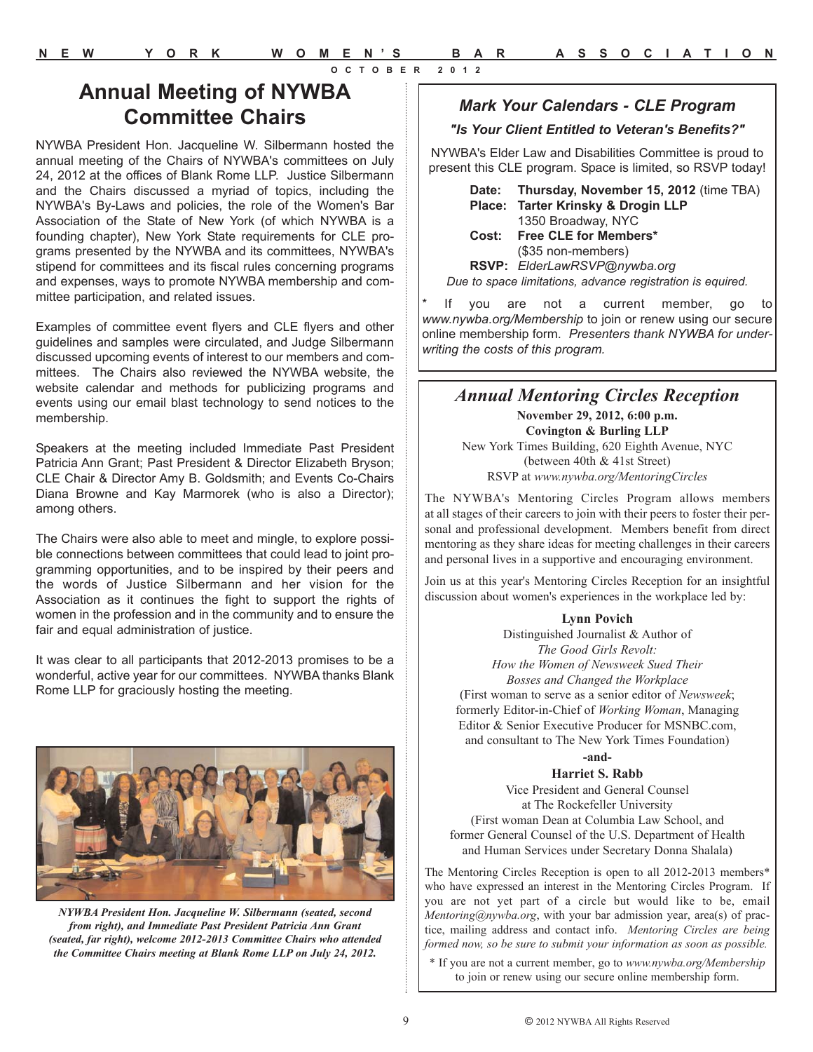### **Annual Meeting of NYWBA Committee Chairs**

NYWBA President Hon. Jacqueline W. Silbermann hosted the annual meeting of the Chairs of NYWBA's committees on July 24, 2012 at the offices of Blank Rome LLP. Justice Silbermann and the Chairs discussed a myriad of topics, including the NYWBA's By-Laws and policies, the role of the Women's Bar Association of the State of New York (of which NYWBA is a founding chapter), New York State requirements for CLE programs presented by the NYWBA and its committees, NYWBA's stipend for committees and its fiscal rules concerning programs and expenses, ways to promote NYWBA membership and committee participation, and related issues.

Examples of committee event flyers and CLE flyers and other guidelines and samples were circulated, and Judge Silbermann discussed upcoming events of interest to our members and committees. The Chairs also reviewed the NYWBA website, the website calendar and methods for publicizing programs and events using our email blast technology to send notices to the membership.

Speakers at the meeting included Immediate Past President Patricia Ann Grant; Past President & Director Elizabeth Bryson; CLE Chair & Director Amy B. Goldsmith; and Events Co-Chairs Diana Browne and Kay Marmorek (who is also a Director); among others.

The Chairs were also able to meet and mingle, to explore possible connections between committees that could lead to joint programming opportunities, and to be inspired by their peers and the words of Justice Silbermann and her vision for the Association as it continues the fight to support the rights of women in the profession and in the community and to ensure the fair and equal administration of justice.

It was clear to all participants that 2012-2013 promises to be a wonderful, active year for our committees. NYWBA thanks Blank Rome LLP for graciously hosting the meeting.



*NYWBA President Hon. Jacqueline W. Silbermann (seated, second from right), and Immediate Past President Patricia Ann Grant (seated, far right), welcome 2012-2013 Committee Chairs who attended the Committee Chairs meeting at Blank Rome LLP on July 24, 2012.*

#### *Mark Your Calendars - CLE Program*

#### *"Is Your Client Entitled to Veteran's Benefits?"*

NYWBA's Elder Law and Disabilities Committee is proud to present this CLE program. Space is limited, so RSVP today!

**Date: Thursday, November 15, 2012** (time TBA) **Place: Tarter Krinsky & Drogin LLP** 1350 Broadway, NYC **Cost: Free CLE for Members\*** (\$35 non-members) **RSVP:** *ElderLawRSVP@nywba.org Due to space limitations, advance registration is equired.*

If you are not a current member, go to *www.nywba.org/Membership* to join or renew using our secure online membership form. *Presenters thank NYWBA for underwriting the costs of this program.*

#### *Annual Mentoring Circles Reception*

**November 29, 2012, 6:00 p.m. Covington & Burling LLP** New York Times Building, 620 Eighth Avenue, NYC (between 40th & 41st Street) RSVP at *www.nywba.org/MentoringCircles*

The NYWBA's Mentoring Circles Program allows members at all stages of their careers to join with their peers to foster their personal and professional development. Members benefit from direct mentoring as they share ideas for meeting challenges in their careers and personal lives in a supportive and encouraging environment.

Join us at this year's Mentoring Circles Reception for an insightful discussion about women's experiences in the workplace led by:

#### **Lynn Povich**

Distinguished Journalist & Author of *The Good Girls Revolt: How the Women of Newsweek Sued Their Bosses and Changed the Workplace* (First woman to serve as a senior editor of *Newsweek*; formerly Editor-in-Chief of *Working Woman*, Managing Editor & Senior Executive Producer for MSNBC.com, and consultant to The New York Times Foundation)

**-and-**

#### **Harriet S. Rabb**

Vice President and General Counsel at The Rockefeller University (First woman Dean at Columbia Law School, and former General Counsel of the U.S. Department of Health and Human Services under Secretary Donna Shalala)

The Mentoring Circles Reception is open to all 2012-2013 members\* who have expressed an interest in the Mentoring Circles Program. If you are not yet part of a circle but would like to be, email *Mentoring@nywba.org*, with your bar admission year, area(s) of practice, mailing address and contact info. *Mentoring Circles are being formed now, so be sure to submit your information as soon as possible.*

\* If you are not a current member, go to *www.nywba.org/Membership* to join or renew using our secure online membership form.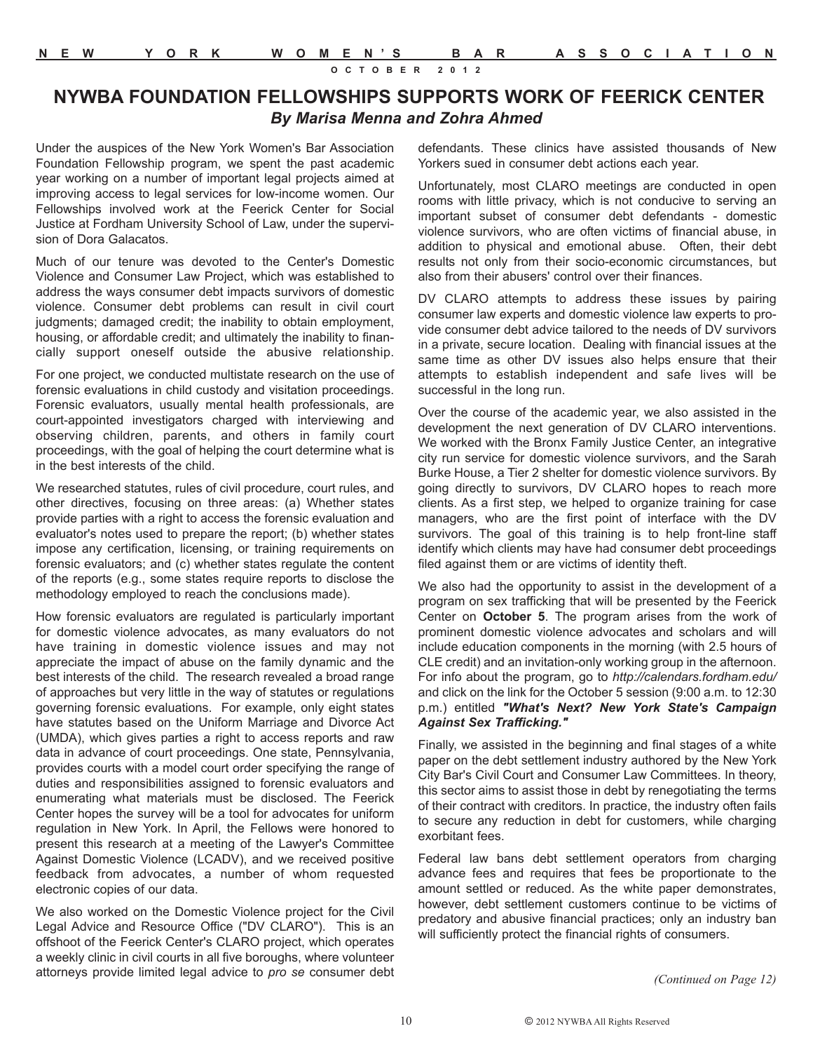#### **NYWBA FOUNDATION FELLOWSHIPS SUPPORTS WORK OF FEERICK CENTER**  *By Marisa Menna and Zohra Ahmed*

Under the auspices of the New York Women's Bar Association Foundation Fellowship program, we spent the past academic year working on a number of important legal projects aimed at improving access to legal services for low-income women. Our Fellowships involved work at the Feerick Center for Social Justice at Fordham University School of Law, under the supervision of Dora Galacatos.

Much of our tenure was devoted to the Center's Domestic Violence and Consumer Law Project, which was established to address the ways consumer debt impacts survivors of domestic violence. Consumer debt problems can result in civil court judgments; damaged credit; the inability to obtain employment, housing, or affordable credit; and ultimately the inability to financially support oneself outside the abusive relationship.

For one project, we conducted multistate research on the use of forensic evaluations in child custody and visitation proceedings. Forensic evaluators, usually mental health professionals, are court-appointed investigators charged with interviewing and observing children, parents, and others in family court proceedings, with the goal of helping the court determine what is in the best interests of the child.

We researched statutes, rules of civil procedure, court rules, and other directives, focusing on three areas: (a) Whether states provide parties with a right to access the forensic evaluation and evaluator's notes used to prepare the report; (b) whether states impose any certification, licensing, or training requirements on forensic evaluators; and (c) whether states regulate the content of the reports (e.g., some states require reports to disclose the methodology employed to reach the conclusions made).

How forensic evaluators are regulated is particularly important for domestic violence advocates, as many evaluators do not have training in domestic violence issues and may not appreciate the impact of abuse on the family dynamic and the best interests of the child. The research revealed a broad range of approaches but very little in the way of statutes or regulations governing forensic evaluations. For example, only eight states have statutes based on the Uniform Marriage and Divorce Act (UMDA), which gives parties a right to access reports and raw data in advance of court proceedings. One state, Pennsylvania, provides courts with a model court order specifying the range of duties and responsibilities assigned to forensic evaluators and enumerating what materials must be disclosed. The Feerick Center hopes the survey will be a tool for advocates for uniform regulation in New York. In April, the Fellows were honored to present this research at a meeting of the Lawyer's Committee Against Domestic Violence (LCADV), and we received positive feedback from advocates, a number of whom requested electronic copies of our data.

We also worked on the Domestic Violence project for the Civil Legal Advice and Resource Office ("DV CLARO"). This is an offshoot of the Feerick Center's CLARO project, which operates a weekly clinic in civil courts in all five boroughs, where volunteer attorneys provide limited legal advice to *pro se* consumer debt defendants. These clinics have assisted thousands of New Yorkers sued in consumer debt actions each year.

Unfortunately, most CLARO meetings are conducted in open rooms with little privacy, which is not conducive to serving an important subset of consumer debt defendants - domestic violence survivors, who are often victims of financial abuse, in addition to physical and emotional abuse. Often, their debt results not only from their socio-economic circumstances, but also from their abusers' control over their finances.

DV CLARO attempts to address these issues by pairing consumer law experts and domestic violence law experts to provide consumer debt advice tailored to the needs of DV survivors in a private, secure location. Dealing with financial issues at the same time as other DV issues also helps ensure that their attempts to establish independent and safe lives will be successful in the long run.

Over the course of the academic year, we also assisted in the development the next generation of DV CLARO interventions. We worked with the Bronx Family Justice Center, an integrative city run service for domestic violence survivors, and the Sarah Burke House, a Tier 2 shelter for domestic violence survivors. By going directly to survivors, DV CLARO hopes to reach more clients. As a first step, we helped to organize training for case managers, who are the first point of interface with the DV survivors. The goal of this training is to help front-line staff identify which clients may have had consumer debt proceedings filed against them or are victims of identity theft.

We also had the opportunity to assist in the development of a program on sex trafficking that will be presented by the Feerick Center on **October 5**. The program arises from the work of prominent domestic violence advocates and scholars and will include education components in the morning (with 2.5 hours of CLE credit) and an invitation-only working group in the afternoon. For info about the program, go to *http://calendars.fordham.edu/* and click on the link for the October 5 session (9:00 a.m. to 12:30 p.m.) entitled *"What's Next? New York State's Campaign Against Sex Trafficking."*

Finally, we assisted in the beginning and final stages of a white paper on the debt settlement industry authored by the New York City Bar's Civil Court and Consumer Law Committees. In theory, this sector aims to assist those in debt by renegotiating the terms of their contract with creditors. In practice, the industry often fails to secure any reduction in debt for customers, while charging exorbitant fees.

Federal law bans debt settlement operators from charging advance fees and requires that fees be proportionate to the amount settled or reduced. As the white paper demonstrates, however, debt settlement customers continue to be victims of predatory and abusive financial practices; only an industry ban will sufficiently protect the financial rights of consumers.

*(Continued on Page 12)*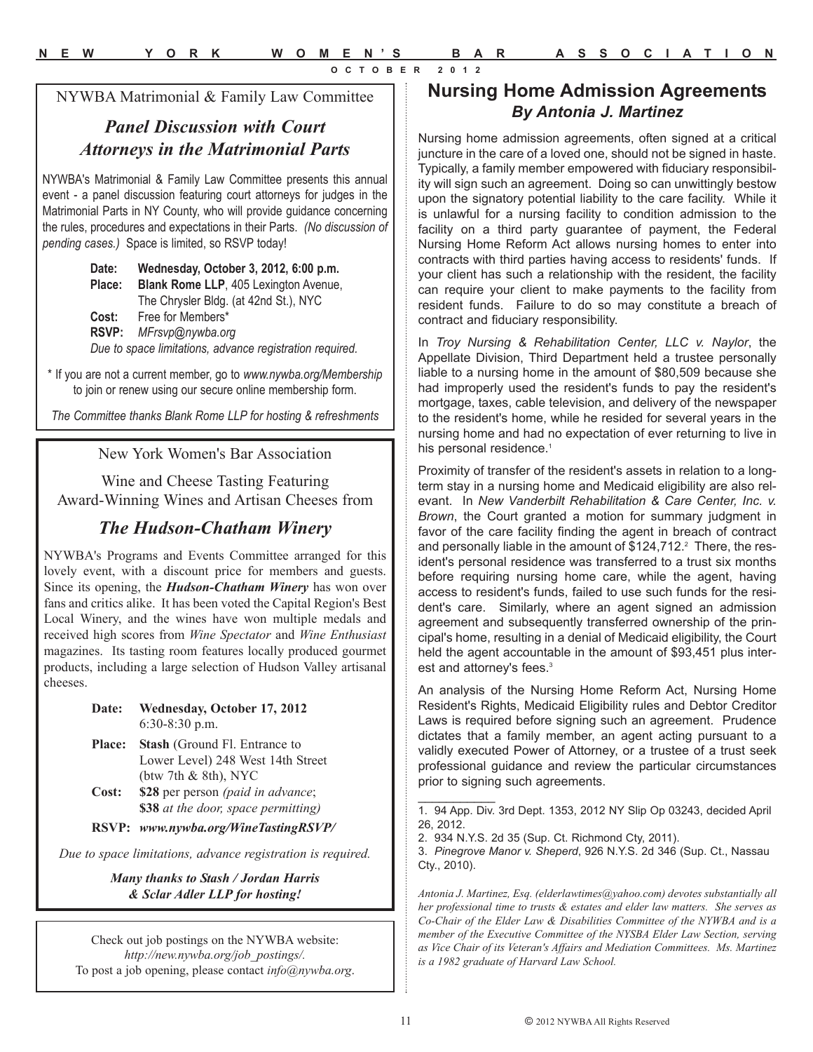NYWBA Matrimonial & Family Law Committee

#### *Panel Discussion with Court Attorneys in the Matrimonial Parts*

NYWBA's Matrimonial & Family Law Committee presents this annual event - a panel discussion featuring court attorneys for judges in the Matrimonial Parts in NY County, who will provide guidance concerning the rules, procedures and expectations in their Parts. *(No discussion of pending cases.)* Space is limited, so RSVP today!

> **Date: Wednesday, October 3, 2012, 6:00 p.m. Place: Blank Rome LLP**, 405 Lexington Avenue, The Chrysler Bldg. (at 42nd St.), NYC **Cost:** Free for Members\* **RSVP:** *MFrsvp@nywba.org Due to space limitations, advance registration required.*

\* If you are not a current member, go to *www.nywba.org/Membership*  to join or renew using our secure online membership form.

*The Committee thanks Blank Rome LLP for hosting & refreshments*

New York Women's Bar Association

Wine and Cheese Tasting Featuring Award-Winning Wines and Artisan Cheeses from

#### *The Hudson-Chatham Winery*

NYWBA's Programs and Events Committee arranged for this lovely event, with a discount price for members and guests. Since its opening, the *Hudson-Chatham Winery* has won over fans and critics alike. It has been voted the Capital Region's Best Local Winery, and the wines have won multiple medals and received high scores from *Wine Spectator* and *Wine Enthusiast* magazines. Its tasting room features locally produced gourmet products, including a large selection of Hudson Valley artisanal cheeses.

> **Date: Wednesday, October 17, 2012** 6:30-8:30 p.m.

- **Place: Stash** (Ground Fl. Entrance to Lower Level) 248 West 14th Street (btw 7th & 8th), NYC **Cost: \$28** per person *(paid in advance*;
- **\$38** *at the door, space permitting)*

**RSVP:** *www.nywba.org/WineTastingRSVP/*

*Due to space limitations, advance registration is required.*

*Many thanks to Stash / Jordan Harris & Sclar Adler LLP for hosting!*

Check out job postings on the NYWBA website: *http://new.nywba.org/job\_postings/.* To post a job opening, please contact *info@nywba.org*.

#### **Nursing Home Admission Agreements** *By Antonia J. Martinez*

Nursing home admission agreements, often signed at a critical juncture in the care of a loved one, should not be signed in haste. Typically, a family member empowered with fiduciary responsibility will sign such an agreement. Doing so can unwittingly bestow upon the signatory potential liability to the care facility. While it is unlawful for a nursing facility to condition admission to the facility on a third party guarantee of payment, the Federal Nursing Home Reform Act allows nursing homes to enter into contracts with third parties having access to residents' funds. If your client has such a relationship with the resident, the facility can require your client to make payments to the facility from resident funds. Failure to do so may constitute a breach of contract and fiduciary responsibility.

In *Troy Nursing & Rehabilitation Center, LLC v. Naylor*, the Appellate Division, Third Department held a trustee personally liable to a nursing home in the amount of \$80,509 because she had improperly used the resident's funds to pay the resident's mortgage, taxes, cable television, and delivery of the newspaper to the resident's home, while he resided for several years in the nursing home and had no expectation of ever returning to live in his personal residence.<sup>1</sup>

Proximity of transfer of the resident's assets in relation to a longterm stay in a nursing home and Medicaid eligibility are also relevant. In *New Vanderbilt Rehabilitation & Care Center, Inc. v. Brown*, the Court granted a motion for summary judgment in favor of the care facility finding the agent in breach of contract and personally liable in the amount of \$124,712.<sup>2</sup> There, the resident's personal residence was transferred to a trust six months before requiring nursing home care, while the agent, having access to resident's funds, failed to use such funds for the resident's care. Similarly, where an agent signed an admission agreement and subsequently transferred ownership of the principal's home, resulting in a denial of Medicaid eligibility, the Court held the agent accountable in the amount of \$93,451 plus interest and attorney's fees.<sup>3</sup>

An analysis of the Nursing Home Reform Act, Nursing Home Resident's Rights, Medicaid Eligibility rules and Debtor Creditor Laws is required before signing such an agreement. Prudence dictates that a family member, an agent acting pursuant to a validly executed Power of Attorney, or a trustee of a trust seek professional guidance and review the particular circumstances prior to signing such agreements.

 $\frac{1}{2}$ 

<sup>1. 94</sup> App. Div. 3rd Dept. 1353, 2012 NY Slip Op 03243, decided April 26, 2012.

<sup>2. 934</sup> N.Y.S. 2d 35 (Sup. Ct. Richmond Cty, 2011).

<sup>3.</sup> *Pinegrove Manor v. Sheperd*, 926 N.Y.S. 2d 346 (Sup. Ct., Nassau Cty., 2010).

*Antonia J. Martinez, Esq. (elderlawtimes@yahoo.com) devotes substantially all her professional time to trusts & estates and elder law matters. She serves as Co-Chair of the Elder Law & Disabilities Committee of the NYWBA and is a member of the Executive Committee of the NYSBA Elder Law Section, serving as Vice Chair of its Veteran's Affairs and Mediation Committees. Ms. Martinez is a 1982 graduate of Harvard Law School.*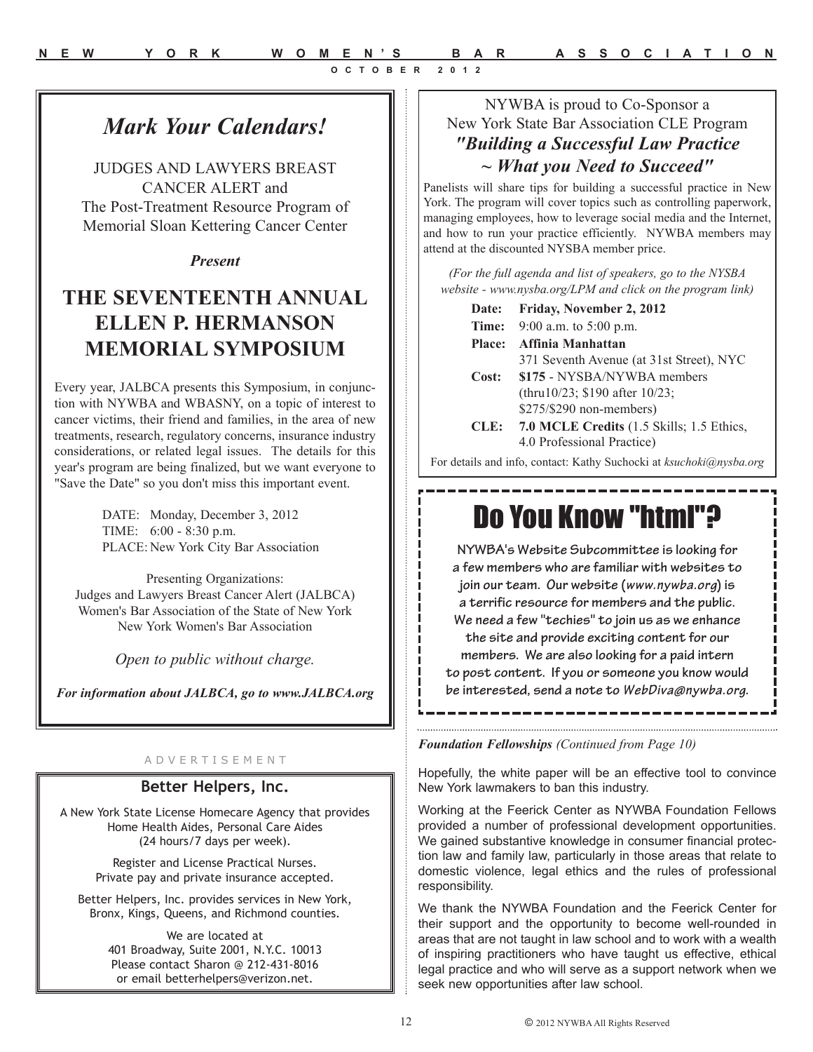## *Mark Your Calendars!*

JUDGES AND LAWYERS BREAST CANCER ALERT and The Post-Treatment Resource Program of Memorial Sloan Kettering Cancer Center

#### *Present*

## **THE SEVENTEENTH ANNUAL ELLEN P. HERMANSON MEMORIAL SYMPOSIUM**

Every year, JALBCA presents this Symposium, in conjunction with NYWBA and WBASNY, on a topic of interest to cancer victims, their friend and families, in the area of new treatments, research, regulatory concerns, insurance industry considerations, or related legal issues. The details for this year's program are being finalized, but we want everyone to "Save the Date" so you don't miss this important event.

> DATE: Monday, December 3, 2012 TIME: 6:00 - 8:30 p.m. PLACE: New York City Bar Association

Presenting Organizations: Judges and Lawyers Breast Cancer Alert (JALBCA) Women's Bar Association of the State of New York New York Women's Bar Association

*Open to public without charge.*

*For information about JALBCA, go to www.JALBCA.org*

#### A D V E R T I S E M E N T

#### **Better Helpers, Inc.**

A New York State License Homecare Agency that provides Home Health Aides, Personal Care Aides (24 hours/7 days per week).

> Register and License Practical Nurses. Private pay and private insurance accepted.

Better Helpers, Inc. provides services in New York, Bronx, Kings, Queens, and Richmond counties.

> We are located at 401 Broadway, Suite 2001, N.Y.C. 10013 Please contact Sharon @ 212-431-8016 or email betterhelpers@verizon.net.

#### NYWBA is proud to Co-Sponsor a New York State Bar Association CLE Program *"Building a Successful Law Practice ~ What you Need to Succeed"*

Panelists will share tips for building a successful practice in New York. The program will cover topics such as controlling paperwork, managing employees, how to leverage social media and the Internet, and how to run your practice efficiently. NYWBA members may attend at the discounted NYSBA member price.

*(For the full agenda and list of speakers, go to the NYSBA website - www.nysba.org/LPM and click on the program link)* 

| Date: | Friday, November 2, 2012                  |
|-------|-------------------------------------------|
| Time: | 9:00 a.m. to $5:00$ p.m.                  |
|       | Place: Affinia Manhattan                  |
|       | 371 Seventh Avenue (at 31st Street), NYC  |
| Cost: | \$175 - NYSBA/NYWBA members               |
|       | (thru10/23; \$190 after $10/23$ ;         |
|       | \$275/\$290 non-members)                  |
| CLE:  | 7.0 MCLE Credits (1.5 Skills; 1.5 Ethics, |
|       | 4.0 Professional Practice)                |

For details and info, contact: Kathy Suchocki at *ksuchoki@nysba.org*

## Do You Know "html"?

**NYWBA's Website Subcommittee is looking for a few members who are familiar with websites to join our team. Our website (***www.nywba.org***) is a terrific resource for members and the public. We need a few "techies" to join us as we enhance the site and provide exciting content for our members. We are also looking for a paid intern to post content. If you or someone you know would be interested, send a note to** *WebDiva@nywba.org***.** 

#### *Foundation Fellowships (Continued from Page 10)*

Hopefully, the white paper will be an effective tool to convince New York lawmakers to ban this industry.

Working at the Feerick Center as NYWBA Foundation Fellows provided a number of professional development opportunities. We gained substantive knowledge in consumer financial protection law and family law, particularly in those areas that relate to domestic violence, legal ethics and the rules of professional responsibility.

We thank the NYWBA Foundation and the Feerick Center for their support and the opportunity to become well-rounded in areas that are not taught in law school and to work with a wealth of inspiring practitioners who have taught us effective, ethical legal practice and who will serve as a support network when we seek new opportunities after law school.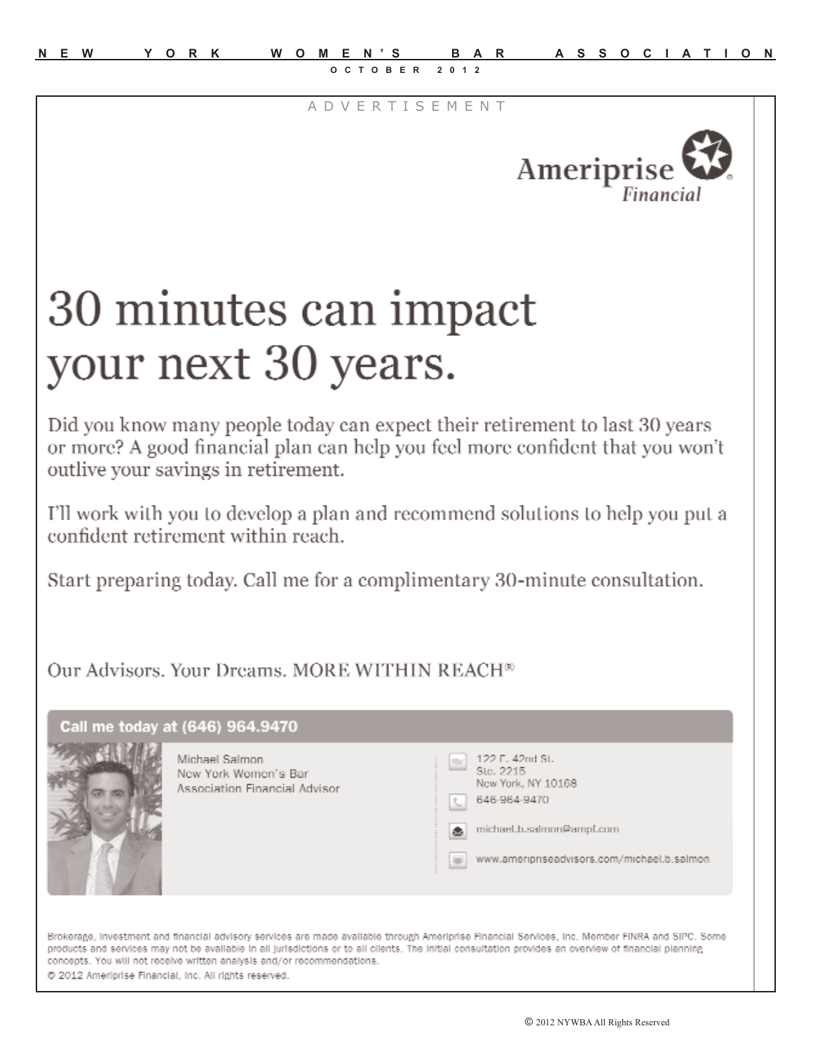A D V E R T I S E M E N T



# 30 minutes can impact your next 30 years.

Did you know many people today can expect their retirement to last 30 years or more? A good financial plan can help you feel more confident that you won't outlive your savings in retirement.

I'll work with you to develop a plan and recommend solutions to help you put a confident retirement within reach.

Start preparing today. Call me for a complimentary 30-minute consultation.

Our Advisors. Your Dreams. MORE WITHIN REACH<sup>®</sup>



@ 2012 Ameriprise Financial, Inc. All rights reserved.